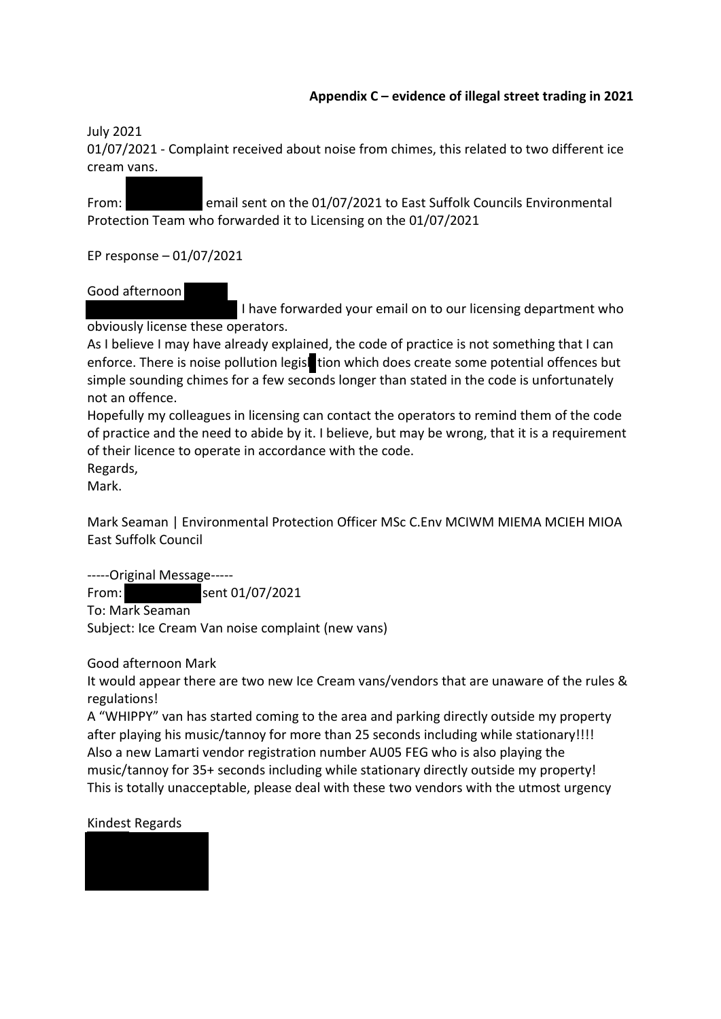## **Appendix C – evidence of illegal street trading in 2021**

July 2021

01/07/2021 - Complaint received about noise from chimes, this related to two different ice cream vans.

From: email sent on the 01/07/2021 to East Suffolk Councils Environmental Protection Team who forwarded it to Licensing on the 01/07/2021

EP response – 01/07/2021

# Good afternoon

 I have forwarded your email on to our licensing department who obviously license these operators.

As I believe I may have already explained, the code of practice is not something that I can enforce. There is noise pollution legist tion which does create some potential offences but simple sounding chimes for a few seconds longer than stated in the code is unfortunately not an offence.

Hopefully my colleagues in licensing can contact the operators to remind them of the code of practice and the need to abide by it. I believe, but may be wrong, that it is a requirement of their licence to operate in accordance with the code. Regards,

Mark.

Mark Seaman | Environmental Protection Officer MSc C.Env MCIWM MIEMA MCIEH MIOA East Suffolk Council

-----Original Message-----

From: sent 01/07/2021 To: Mark Seaman Subject: Ice Cream Van noise complaint (new vans)

Good afternoon Mark

It would appear there are two new Ice Cream vans/vendors that are unaware of the rules & regulations!

A "WHIPPY" van has started coming to the area and parking directly outside my property after playing his music/tannoy for more than 25 seconds including while stationary!!!! Also a new Lamarti vendor registration number AU05 FEG who is also playing the music/tannoy for 35+ seconds including while stationary directly outside my property! This is totally unacceptable, please deal with these two vendors with the utmost urgency

## Kindest Regards

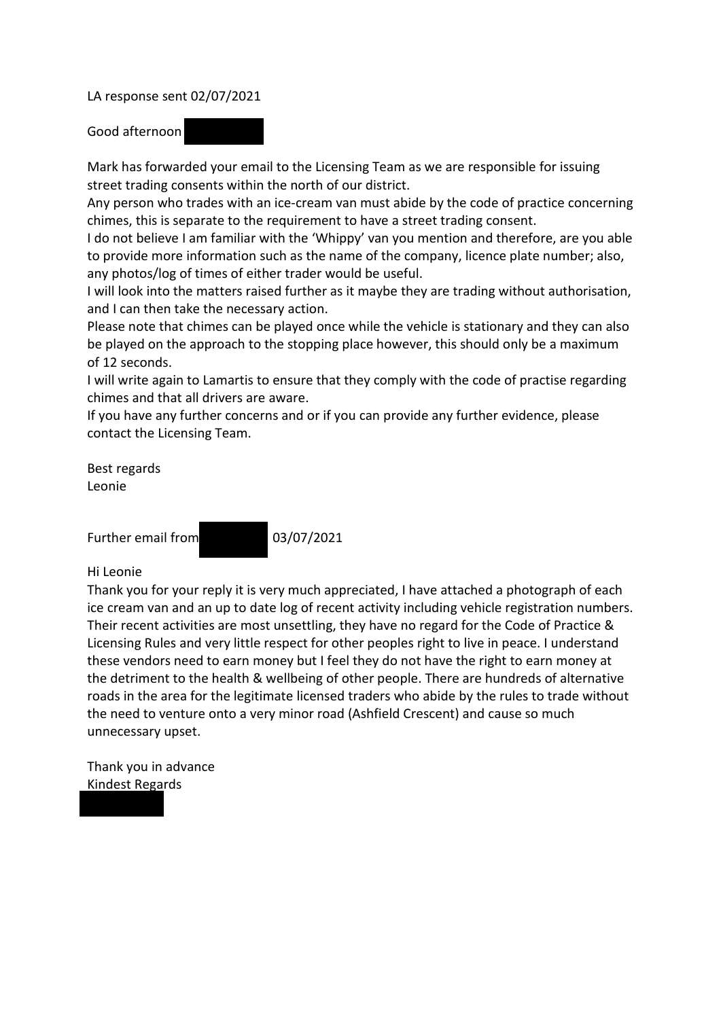LA response sent 02/07/2021

Good afternoon

Mark has forwarded your email to the Licensing Team as we are responsible for issuing street trading consents within the north of our district.

Any person who trades with an ice-cream van must abide by the code of practice concerning chimes, this is separate to the requirement to have a street trading consent.

I do not believe I am familiar with the 'Whippy' van you mention and therefore, are you able to provide more information such as the name of the company, licence plate number; also, any photos/log of times of either trader would be useful.

I will look into the matters raised further as it maybe they are trading without authorisation, and I can then take the necessary action.

Please note that chimes can be played once while the vehicle is stationary and they can also be played on the approach to the stopping place however, this should only be a maximum of 12 seconds.

I will write again to Lamartis to ensure that they comply with the code of practise regarding chimes and that all drivers are aware.

If you have any further concerns and or if you can provide any further evidence, please contact the Licensing Team.

Best regards Leonie

Further email from 03/07/2021

### Hi Leonie

Thank you for your reply it is very much appreciated, I have attached a photograph of each ice cream van and an up to date log of recent activity including vehicle registration numbers. Their recent activities are most unsettling, they have no regard for the Code of Practice & Licensing Rules and very little respect for other peoples right to live in peace. I understand these vendors need to earn money but I feel they do not have the right to earn money at the detriment to the health & wellbeing of other people. There are hundreds of alternative roads in the area for the legitimate licensed traders who abide by the rules to trade without the need to venture onto a very minor road (Ashfield Crescent) and cause so much unnecessary upset.

Thank you in advance Kindest Regards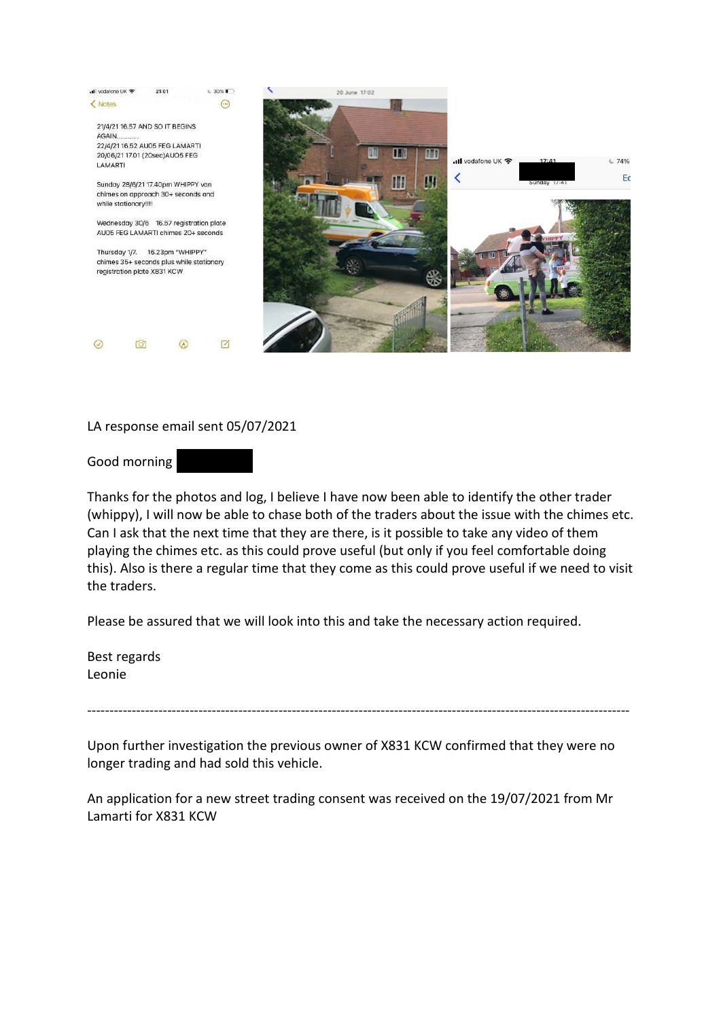

## LA response email sent 05/07/2021

Good morning



Thanks for the photos and log, I believe I have now been able to identify the other trader (whippy), I will now be able to chase both of the traders about the issue with the chimes etc. Can I ask that the next time that they are there, is it possible to take any video of them playing the chimes etc. as this could prove useful (but only if you feel comfortable doing this). Also is there a regular time that they come as this could prove useful if we need to visit the traders.

Please be assured that we will look into this and take the necessary action required.

Best regards Leonie

--------------------------------------------------------------------------------------------------------------------------

Upon further investigation the previous owner of X831 KCW confirmed that they were no longer trading and had sold this vehicle.

An application for a new street trading consent was received on the 19/07/2021 from Mr Lamarti for X831 KCW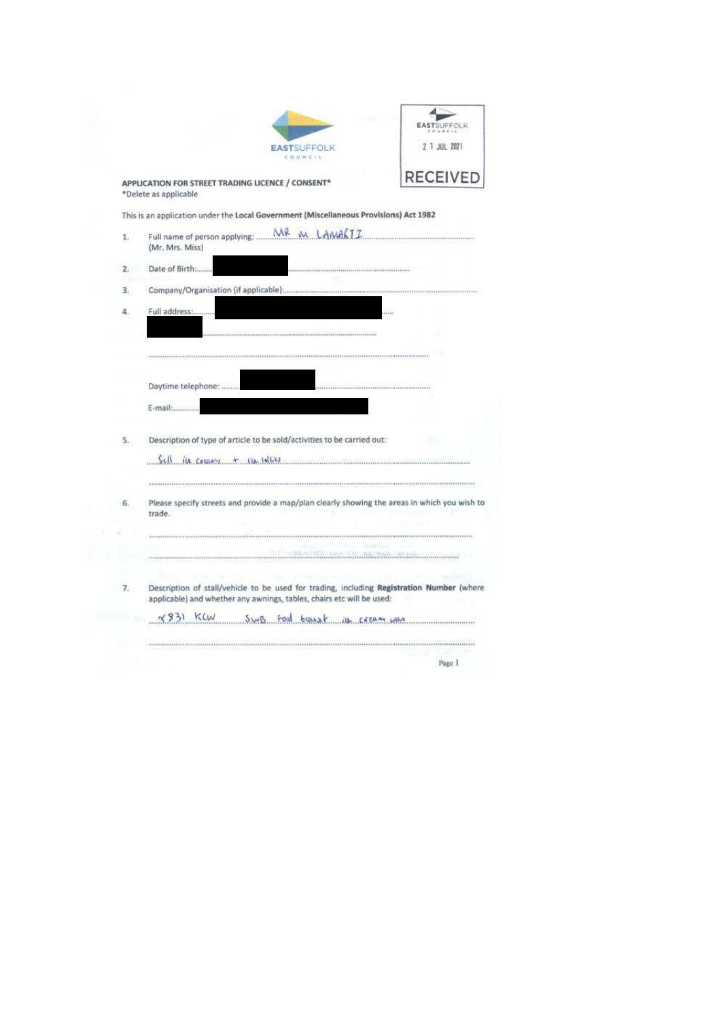|                                                        | <b>EASTSUFFOLK</b><br>$0.0.11 \leq x \leq 1.5$ |
|--------------------------------------------------------|------------------------------------------------|
| <b>EASTSUFFOLK</b><br>COUNCIL<br><b>Report Follows</b> | 2 1 JUL 2021                                   |
| <b>ET TRADING LICENCE / CONSENT*</b>                   | <b>RECEIVED</b>                                |

**APPLICATION FOR STREE**<br>\*Delete as applicable Ų

This is an application under the Local Government (Miscellaneous Provisions) Act 1982

| 1.  | MR<br>M LAMALIZ<br>Full name of person applying: .<br>(Mr. Mrs. Miss)                                                                                              |
|-----|--------------------------------------------------------------------------------------------------------------------------------------------------------------------|
| 2.5 | Date of Birth:                                                                                                                                                     |
| 3.  |                                                                                                                                                                    |
| 4.  | Full address:<br><b>PERMIT</b>                                                                                                                                     |
|     |                                                                                                                                                                    |
|     |                                                                                                                                                                    |
|     |                                                                                                                                                                    |
|     | Daytime telephone:                                                                                                                                                 |
|     | E-mail:                                                                                                                                                            |
| 5.  | Description of type of article to be sold/activities to be carried out:                                                                                            |
|     | Sell ice cocony + rue volties                                                                                                                                      |
|     |                                                                                                                                                                    |
| 6.  | Please specify streets and provide a map/plan clearly showing the areas in which you wish to<br>trade.                                                             |
|     |                                                                                                                                                                    |
|     | <b>Second Committee In the Wales Profession Committee</b>                                                                                                          |
| 7.  | Description of stall/vehicle to be used for trading, including Registration Number (where<br>applicable) and whether any awnings, tables, chairs etc will be used: |
|     | KLW<br>$x^{9}31$<br>SwB ford transf is cream wan                                                                                                                   |
|     |                                                                                                                                                                    |
|     | Page 1                                                                                                                                                             |